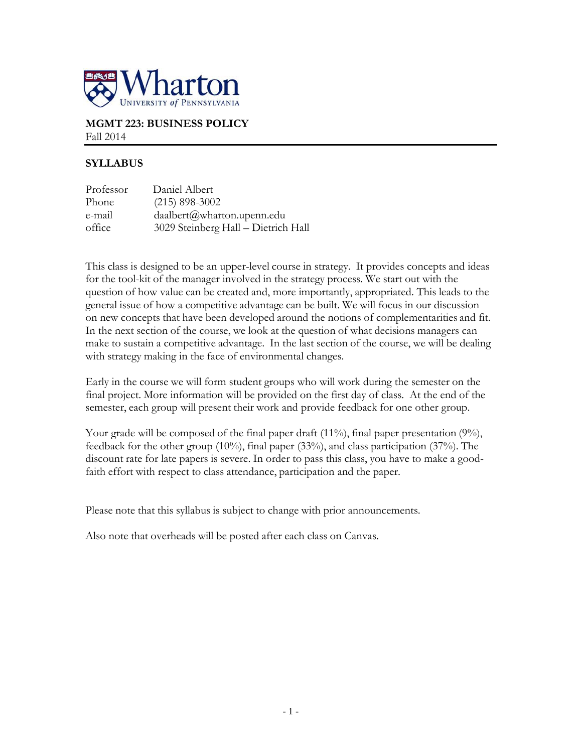

### **MGMT 223: BUSINESS POLICY** Fall 2014

# **SYLLABUS**

| Professor | Daniel Albert                       |
|-----------|-------------------------------------|
| Phone     | $(215)$ 898-3002                    |
| e-mail    | daalbert@wharton.upenn.edu          |
| office    | 3029 Steinberg Hall - Dietrich Hall |

This class is designed to be an upper-level course in strategy. It provides concepts and ideas for the tool-kit of the manager involved in the strategy process. We start out with the question of how value can be created and, more importantly, appropriated. This leads to the general issue of how a competitive advantage can be built. We will focus in our discussion on new concepts that have been developed around the notions of complementarities and fit. In the next section of the course, we look at the question of what decisions managers can make to sustain a competitive advantage. In the last section of the course, we will be dealing with strategy making in the face of environmental changes.

Early in the course we will form student groups who will work during the semester on the final project. More information will be provided on the first day of class. At the end of the semester, each group will present their work and provide feedback for one other group.

Your grade will be composed of the final paper draft  $(11\%)$ , final paper presentation  $(9\%)$ , feedback for the other group (10%), final paper (33%), and class participation (37%). The discount rate for late papers is severe. In order to pass this class, you have to make a goodfaith effort with respect to class attendance, participation and the paper.

Please note that this syllabus is subject to change with prior announcements.

Also note that overheads will be posted after each class on Canvas.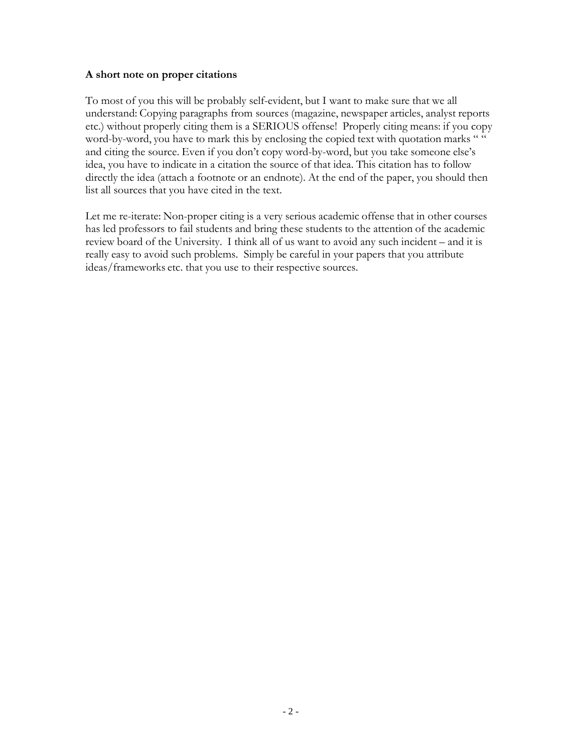# **A short note on proper citations**

To most of you this will be probably self-evident, but I want to make sure that we all understand: Copying paragraphs from sources (magazine, newspaper articles, analyst reports etc.) without properly citing them is a SERIOUS offense! Properly citing means: if you copy word-by-word, you have to mark this by enclosing the copied text with quotation marks " " and citing the source. Even if you don't copy word-by-word, but you take someone else's idea, you have to indicate in a citation the source of that idea. This citation has to follow directly the idea (attach a footnote or an endnote). At the end of the paper, you should then list all sources that you have cited in the text.

Let me re-iterate: Non-proper citing is a very serious academic offense that in other courses has led professors to fail students and bring these students to the attention of the academic review board of the University. I think all of us want to avoid any such incident – and it is really easy to avoid such problems. Simply be careful in your papers that you attribute ideas/frameworks etc. that you use to their respective sources.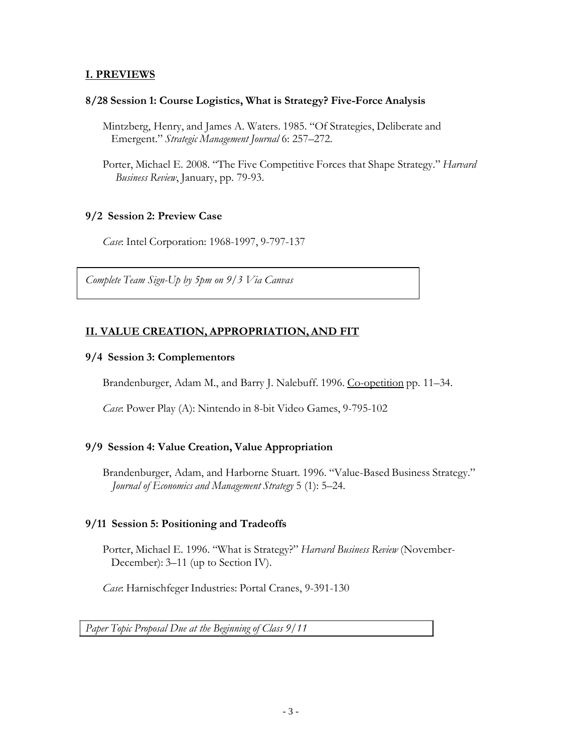# **I. PREVIEWS**

### **8/28 Session 1: Course Logistics, What is Strategy? Five-Force Analysis**

- Mintzberg, Henry, and James A. Waters. 1985. "Of Strategies, Deliberate and Emergent." *Strategic Management Journal* 6: 257–272.
- Porter, Michael E. 2008. "The Five Competitive Forces that Shape Strategy." *Harvard Business Review*, January, pp. 79-93.

# **9/2 Session 2: Preview Case**

*Case*: Intel Corporation: 1968-1997, 9-797-137

*Complete Team Sign-Up by 5pm on 9/3 Via Canvas*

# **II. VALUE CREATION, APPROPRIATION,AND FIT**

### **9/4 Session 3: Complementors**

Brandenburger, Adam M., and Barry J. Nalebuff. 1996. Co-opetition pp. 11–34.

*Case*: Power Play (A): Nintendo in 8-bit Video Games, 9-795-102

# **9/9 Session 4: Value Creation, Value Appropriation**

Brandenburger, Adam, and Harborne Stuart. 1996. "Value-Based Business Strategy." *Journal of Economics and Management Strategy* 5 (1): 5–24.

### **9/11 Session 5: Positioning and Tradeoffs**

Porter, Michael E. 1996. "What is Strategy?" *Harvard Business Review* (November-December): 3–11 (up to Section IV).

*Case*: Harnischfeger Industries: Portal Cranes, 9-391-130

*Paper Topic Proposal Due at the Beginning of Class 9/11*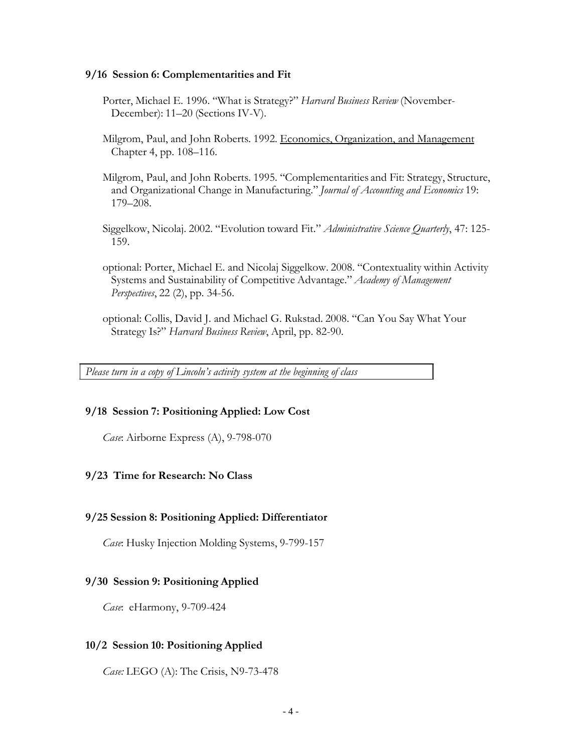#### **9/16 Session 6: Complementarities and Fit**

- Porter, Michael E. 1996. "What is Strategy?" *Harvard Business Review* (November-December): 11–20 (Sections IV-V).
- Milgrom, Paul, and John Roberts. 1992. Economics, Organization, and Management Chapter 4, pp. 108–116.
- Milgrom, Paul, and John Roberts. 1995. "Complementarities and Fit: Strategy, Structure, and Organizational Change in Manufacturing." *Journal of Accounting and Economics* 19: 179–208.
- Siggelkow, Nicolaj. 2002. "Evolution toward Fit." *Administrative Science Quarterly*, 47: 125- 159.
- optional: Porter, Michael E. and Nicolaj Siggelkow. 2008. "Contextuality within Activity Systems and Sustainability of Competitive Advantage." *Academy of Management Perspectives*, 22 (2), pp. 34-56.
- optional: Collis, David J. and Michael G. Rukstad. 2008. "Can You Say What Your Strategy Is?" *Harvard Business Review*, April, pp. 82-90.

*Please turn in a copy of Lincoln's activity system at the beginning of class*

#### **9/18 Session 7: Positioning Applied: Low Cost**

*Case*: Airborne Express (A), 9-798-070

# **9/23 Time for Research: No Class**

#### **9/25 Session 8: Positioning Applied: Differentiator**

*Case*: Husky Injection Molding Systems, 9-799-157

#### **9/30 Session 9: Positioning Applied**

*Case*: eHarmony, 9-709-424

#### **10/2 Session 10: Positioning Applied**

*Case:* LEGO (A): The Crisis, N9-73-478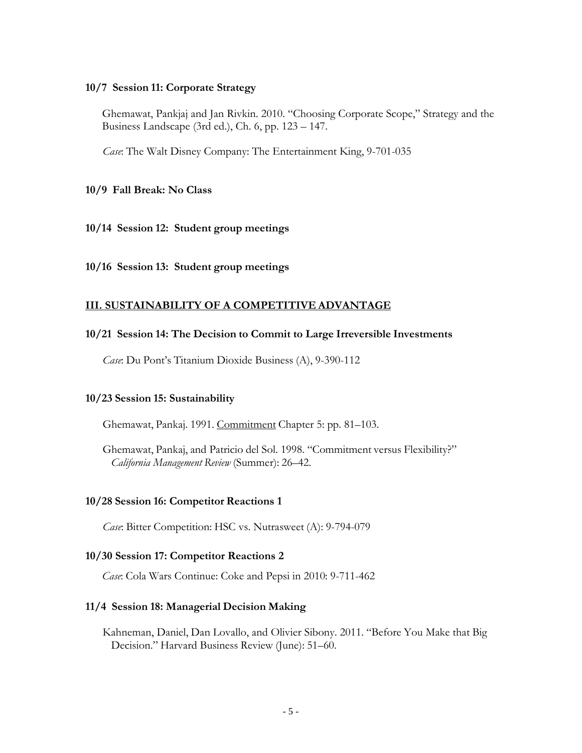#### **10/7 Session 11: Corporate Strategy**

Ghemawat, Pankjaj and Jan Rivkin. 2010. "Choosing Corporate Scope," Strategy and the Business Landscape (3rd ed.), Ch. 6, pp. 123 – 147.

*Case*: The Walt Disney Company: The Entertainment King, 9-701-035

### **10/9 Fall Break: No Class**

#### **10/14 Session 12: Student group meetings**

**10/16 Session 13: Student group meetings**

### **III. SUSTAINABILITY OF A COMPETITIVE ADVANTAGE**

### **10/21 Session 14: The Decision to Commit to Large Irreversible Investments**

*Case*: Du Pont's Titanium Dioxide Business (A), 9-390-112

#### **10/23 Session 15: Sustainability**

Ghemawat, Pankaj. 1991. Commitment Chapter 5: pp. 81–103.

Ghemawat, Pankaj, and Patricio del Sol. 1998. "Commitment versus Flexibility?" *California Management Review* (Summer): 26–42.

#### **10/28 Session 16: Competitor Reactions 1**

*Case*: Bitter Competition: HSC vs. Nutrasweet (A): 9-794-079

#### **10/30 Session 17: Competitor Reactions 2**

*Case*: Cola Wars Continue: Coke and Pepsi in 2010: 9-711-462

#### **11/4 Session 18: Managerial Decision Making**

Kahneman, Daniel, Dan Lovallo, and Olivier Sibony. 2011. "Before You Make that Big Decision." Harvard Business Review (June): 51–60.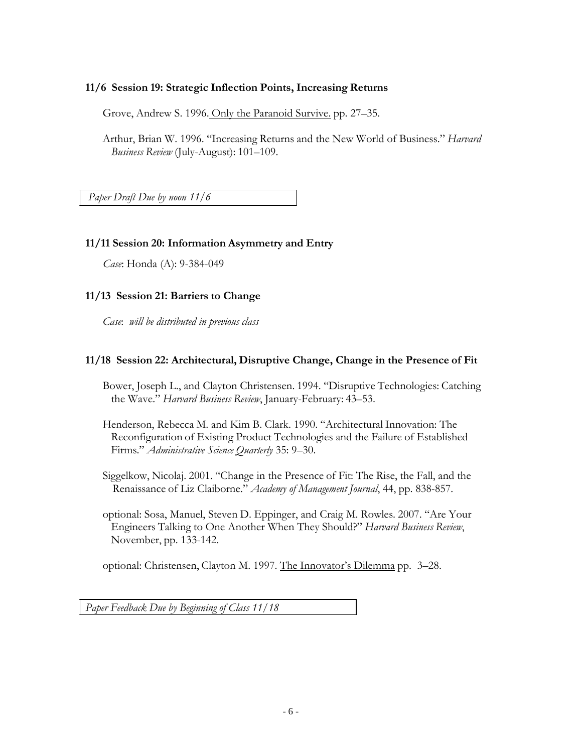### **11/6 Session 19: Strategic Inflection Points, Increasing Returns**

Grove, Andrew S. 1996. Only the Paranoid Survive. pp. 27–35.

Arthur, Brian W. 1996. "Increasing Returns and the New World of Business." *Harvard Business Review* (July-August): 101–109.

*Paper Draft Due by noon 11/6*

# **11/11 Session 20: Information Asymmetry and Entry**

*Case*: Honda (A): 9-384-049

# **11/13 Session 21: Barriers to Change**

*Case*: *will be distributed in previous class*

# **11/18 Session 22: Architectural, Disruptive Change, Change in the Presence of Fit**

Bower, Joseph L., and Clayton Christensen. 1994. "Disruptive Technologies: Catching the Wave." *Harvard Business Review*, January-February: 43–53.

Henderson, Rebecca M. and Kim B. Clark. 1990. "Architectural Innovation: The Reconfiguration of Existing Product Technologies and the Failure of Established Firms." *Administrative Science Quarterly* 35: 9–30.

Siggelkow, Nicolaj. 2001. "Change in the Presence of Fit: The Rise, the Fall, and the Renaissance of Liz Claiborne." *Academy of Management Journal*, 44, pp. 838-857.

optional: Sosa, Manuel, Steven D. Eppinger, and Craig M. Rowles. 2007. "Are Your Engineers Talking to One Another When They Should?" *Harvard Business Review*, November, pp. 133-142.

optional: Christensen, Clayton M. 1997. The Innovator's Dilemma pp. 3–28.

*Paper Feedback Due by Beginning of Class 11/18*